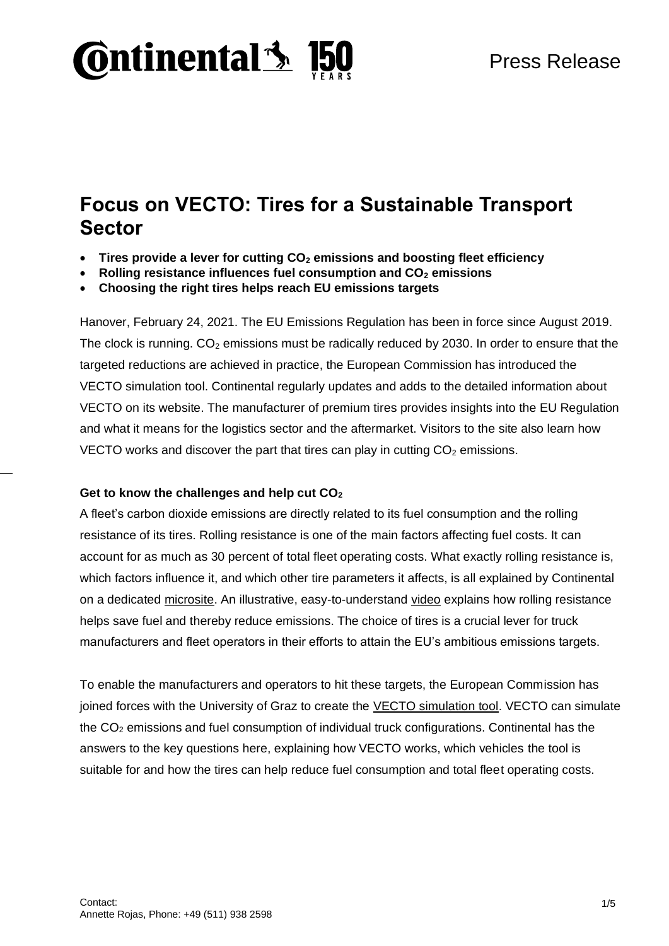

## **Focus on VECTO: Tires for a Sustainable Transport Sector**

- **Tires provide a lever for cutting CO<sup>2</sup> emissions and boosting fleet efficiency**
- **Rolling resistance influences fuel consumption and CO<sup>2</sup> emissions**
- **Choosing the right tires helps reach EU emissions targets**

Hanover, February 24, 2021. The EU Emissions Regulation has been in force since August 2019. The clock is running.  $CO<sub>2</sub>$  emissions must be radically reduced by 2030. In order to ensure that the targeted reductions are achieved in practice, the European Commission has introduced the VECTO simulation tool. Continental regularly updates and adds to the detailed information about VECTO on its website. The manufacturer of premium tires provides insights into the EU Regulation and what it means for the logistics sector and the aftermarket. Visitors to the site also learn how VECTO works and discover the part that tires can play in cutting  $CO<sub>2</sub>$  emissions.

#### **Get to know the challenges and help cut CO<sup>2</sup>**

A fleet's carbon dioxide emissions are directly related to its fuel consumption and the rolling resistance of its tires. Rolling resistance is one of the main factors affecting fuel costs. It can account for as much as 30 percent of total fleet operating costs. What exactly rolling resistance is, which factors influence it, and which other tire parameters it affects, is all explained by Continental on a dedicated [microsite.](https://www.continental-tires.com/transport/fleetsolutions/co2-regulations-vecto/explainer-video) An illustrative, easy-to-understand [video](https://www.continental-tires.com/transport/fleetsolutions/co2-regulations-vecto/tire-rolling-resistance-fuel-consumption) explains how rolling resistance helps save fuel and thereby reduce emissions. The choice of tires is a crucial lever for truck manufacturers and fleet operators in their efforts to attain the EU's ambitious emissions targets.

To enable the manufacturers and operators to hit these targets, the European Commission has joined forces with the University of Graz to create the [VECTO simulation tool.](https://ec.europa.eu/clima/policies/transport/vehicles/vecto_en) VECTO can simulate the  $CO<sub>2</sub>$  emissions and fuel consumption of individual truck configurations. Continental has the answers to the key questions here, explaining how VECTO works, which vehicles the tool is suitable for and how the tires can help reduce fuel consumption and total fleet operating costs.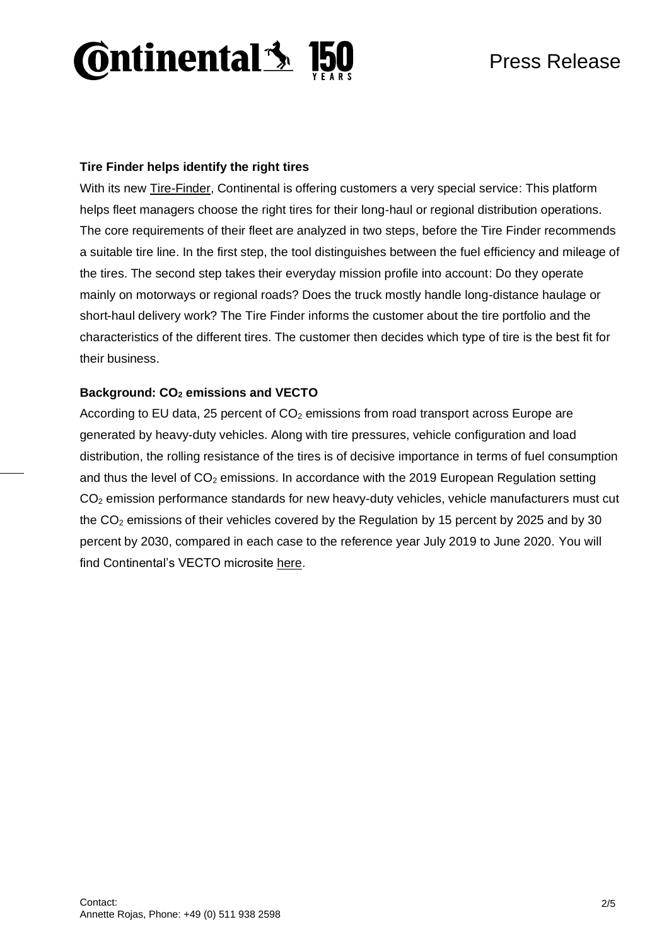# **Ontinental 3 F**

### **Tire Finder helps identify the right tires**

With its new [Tire-Finder,](https://conti-tirefinder.com/public/en/emea) Continental is offering customers a very special service: This platform helps fleet managers choose the right tires for their long-haul or regional distribution operations. The core requirements of their fleet are analyzed in two steps, before the Tire Finder recommends a suitable tire line. In the first step, the tool distinguishes between the fuel efficiency and mileage of the tires. The second step takes their everyday mission profile into account: Do they operate mainly on motorways or regional roads? Does the truck mostly handle long-distance haulage or short-haul delivery work? The Tire Finder informs the customer about the tire portfolio and the characteristics of the different tires. The customer then decides which type of tire is the best fit for their business.

### **Background: CO<sup>2</sup> emissions and VECTO**

According to EU data, 25 percent of  $CO<sub>2</sub>$  emissions from road transport across Europe are generated by heavy-duty vehicles. Along with tire pressures, vehicle configuration and load distribution, the rolling resistance of the tires is of decisive importance in terms of fuel consumption and thus the level of  $CO<sub>2</sub>$  emissions. In accordance with the 2019 European Regulation setting CO<sup>2</sup> emission performance standards for new heavy-duty vehicles, vehicle manufacturers must cut the  $CO<sub>2</sub>$  emissions of their vehicles covered by the Regulation by 15 percent by 2025 and by 30 percent by 2030, compared in each case to the reference year July 2019 to June 2020. [You will](https://www.continental-tires.com/transport/fleetsolutions/co2-regulations-vecto)  [find Continental's VECTO microsite here.](https://www.continental-tires.com/transport/fleetsolutions/co2-regulations-vecto)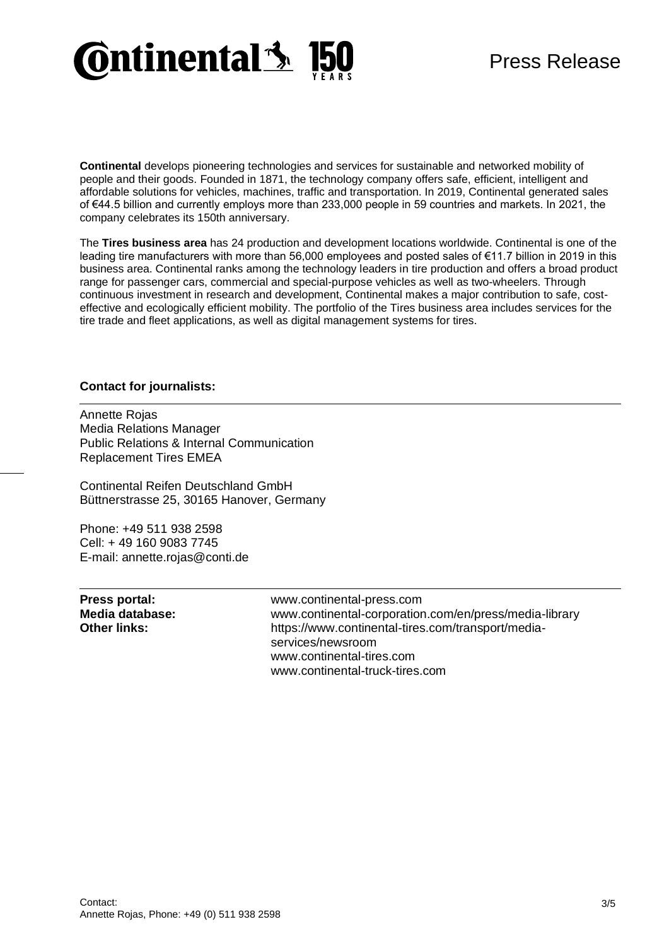

## Press Release

**Continental** develops pioneering technologies and services for sustainable and networked mobility of people and their goods. Founded in 1871, the technology company offers safe, efficient, intelligent and affordable solutions for vehicles, machines, traffic and transportation. In 2019, Continental generated sales of €44.5 billion and currently employs more than 233,000 people in 59 countries and markets. In 2021, the company celebrates its 150th anniversary.

The **Tires business area** has 24 production and development locations worldwide. Continental is one of the leading tire manufacturers with more than 56,000 employees and posted sales of €11.7 billion in 2019 in this business area. Continental ranks among the technology leaders in tire production and offers a broad product range for passenger cars, commercial and special-purpose vehicles as well as two-wheelers. Through continuous investment in research and development, Continental makes a major contribution to safe, costeffective and ecologically efficient mobility. The portfolio of the Tires business area includes services for the tire trade and fleet applications, as well as digital management systems for tires.

#### **Contact for journalists:**

Annette Rojas Media Relations Manager Public Relations & Internal Communication Replacement Tires EMEA

Continental Reifen Deutschland GmbH Büttnerstrasse 25, 30165 Hanover, Germany

Phone: +49 511 938 2598 Cell: + 49 160 9083 7745 E-mail: annette.rojas@conti.de

| Press portal:       | www.continental-press.com                                               |
|---------------------|-------------------------------------------------------------------------|
| Media database:     | www.continental-corporation.com/en/press/media-library                  |
| <b>Other links:</b> | https://www.continental-tires.com/transport/media-<br>services/newsroom |
|                     | www.continental-tires.com                                               |
|                     | www.continental-truck-tires.com                                         |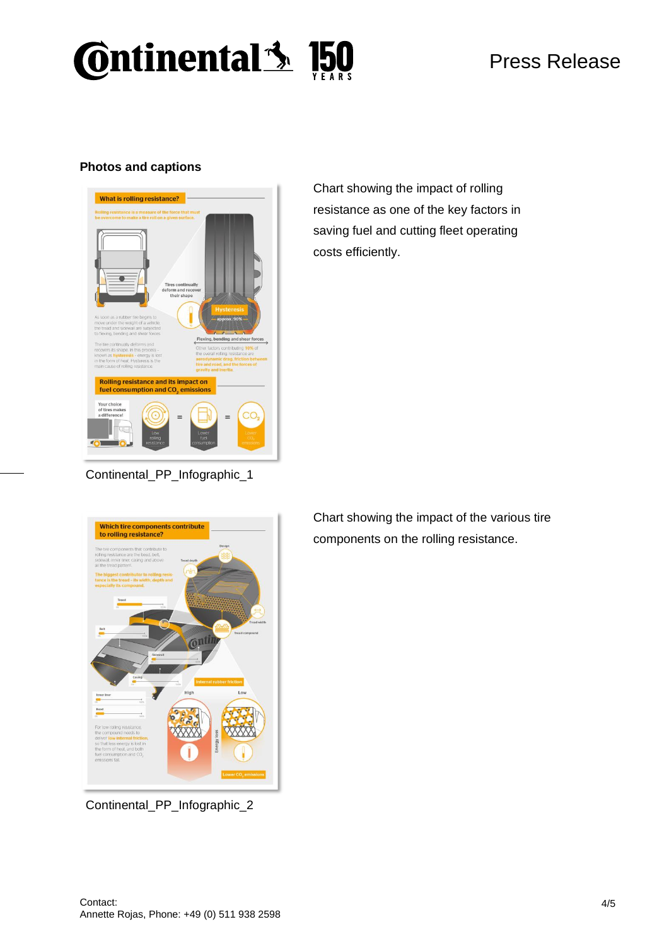# **Continental 3 150**

### **Photos and captions**



Chart showing the impact of rolling resistance as one of the key factors in saving fuel and cutting fleet operating costs efficiently.



Continental\_PP\_Infographic\_2

Chart showing the impact of the various tire components on the rolling resistance.